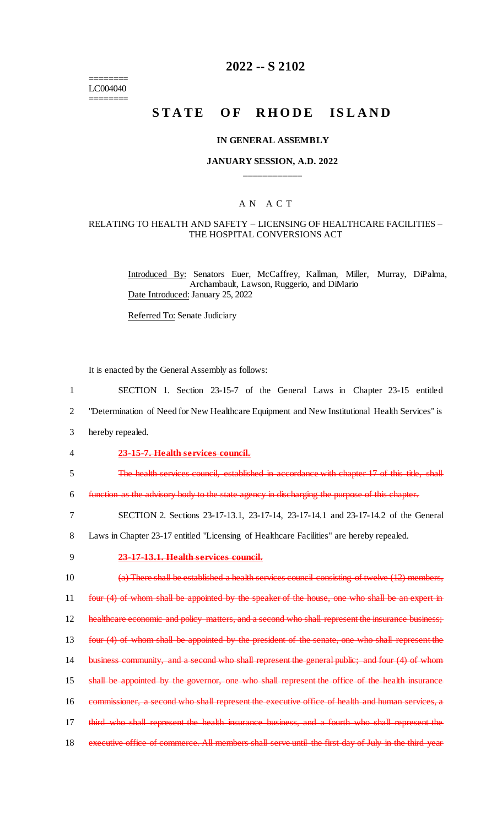======== LC004040 ========

## **2022 -- S 2102**

## **STATE OF RHODE ISLAND**

### **IN GENERAL ASSEMBLY**

### **JANUARY SESSION, A.D. 2022 \_\_\_\_\_\_\_\_\_\_\_\_**

## A N A C T

#### RELATING TO HEALTH AND SAFETY – LICENSING OF HEALTHCARE FACILITIES – THE HOSPITAL CONVERSIONS ACT

Introduced By: Senators Euer, McCaffrey, Kallman, Miller, Murray, DiPalma, Archambault, Lawson, Ruggerio, and DiMario Date Introduced: January 25, 2022

Referred To: Senate Judiciary

It is enacted by the General Assembly as follows:

| $\mathbf{1}$   | SECTION 1. Section 23-15-7 of the General Laws in Chapter 23-15 entitled                            |
|----------------|-----------------------------------------------------------------------------------------------------|
| $\overline{2}$ | "Determination of Need for New Healthcare Equipment and New Institutional Health Services" is       |
| 3              | hereby repealed.                                                                                    |
| $\overline{4}$ | 23-15-7. Health services council.                                                                   |
| 5              | The health services council, established in accordance with chapter 17 of this title, shall         |
| 6              | function as the advisory body to the state agency in discharging the purpose of this chapter.       |
| 7              | SECTION 2. Sections 23-17-13.1, 23-17-14, 23-17-14.1 and 23-17-14.2 of the General                  |
| 8              | Laws in Chapter 23-17 entitled "Licensing of Healthcare Facilities" are hereby repealed.            |
| 9              | 23-17-13.1. Health services council.                                                                |
| 10             | (a) There shall be established a health services council consisting of twelve (12) members,         |
| 11             | four (4) of whom shall be appointed by the speaker of the house, one who shall be an expert in      |
| 12             | healthcare economic and policy matters, and a second who shall represent the insurance business;    |
| 13             | four (4) of whom shall be appointed by the president of the senate, one who shall represent the     |
| 14             | business community, and a second who shall represent the general public; and four (4) of whom       |
| 15             | shall be appointed by the governor, one who shall represent the office of the health insurance      |
| 16             | commissioner, a second who shall represent the executive office of health and human services, a     |
| 17             | third who shall represent the health insurance business, and a fourth who shall represent the       |
| 18             | executive office of commerce. All members shall serve until the first day of July in the third year |
|                |                                                                                                     |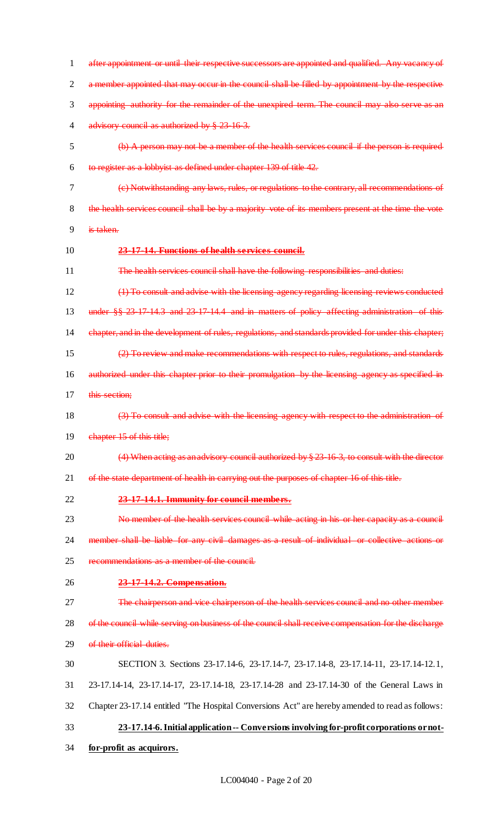| $\mathbf{1}$   | after appointment or until their respective successors are appointed and qualified. Any vacancy of    |
|----------------|-------------------------------------------------------------------------------------------------------|
| $\overline{2}$ | a member appointed that may occur in the council shall be filled by appointment by the respective     |
| 3              | appointing authority for the remainder of the unexpired term. The council may also serve as an        |
| 4              | advisory council as authorized by § 23-16-3.                                                          |
| 5              | (b) A person may not be a member of the health services council if the person is required             |
| 6              | to register as a lobbyist as defined under chapter 139 of title 42.                                   |
| 7              | (e) Notwithstanding any laws, rules, or regulations to the contrary, all recommendations of           |
| 8              | the health services council shall be by a majority vote of its members present at the time the vote   |
| 9              | is taken.                                                                                             |
| 10             | 23-17-14. Functions of health services council.                                                       |
| 11             | The health services council shall have the following responsibilities and duties:                     |
| 12             | (1) To consult and advise with the licensing agency regarding licensing reviews conducted             |
| 13             | under $\S 8$ 23 17 14.3 and 23 17 14.4 and in matters of policy affecting administration of this      |
| 14             | chapter, and in the development of rules, regulations, and standards provided for under this chapter; |
| 15             | (2) To review and make recommendations with respect to rules, regulations, and standards              |
| 16             | authorized under this chapter prior to their promulgation by the licensing agency as specified in     |
| 17             | this section;                                                                                         |
| 18             | (3) To consult and advise with the licensing agency with respect to the administration of             |
| 19             | chapter 15 of this title;                                                                             |
| 20             | $(4)$ When acting as an advisory council authorized by $\S 23$ 16 3, to consult with the director     |
| 21             | of the state department of health in carrying out the purposes of chapter 16 of this title.           |
| 22             | 23-17-14.1. Immunity for council members.                                                             |
| 23             | No member of the health services council while acting in his or her capacity as a council             |
| 24             | member shall be liable for any civil damages as a result of individual or collective actions or       |
| 25             | recommendations as a member of the council.                                                           |
| 26             | 23-17-14.2. Compensation.                                                                             |
| 27             | The chairperson and vice chairperson of the health services council and no other member               |
| 28             | of the council while serving on business of the council shall receive compensation for the discharge  |
| 29             | of their official duties.                                                                             |
| 30             | SECTION 3. Sections 23-17.14-6, 23-17.14-7, 23-17.14-8, 23-17.14-11, 23-17.14-12.1,                   |
| 31             | 23-17.14-14, 23-17.14-17, 23-17.14-18, 23-17.14-28 and 23-17.14-30 of the General Laws in             |
| 32             | Chapter 23-17.14 entitled "The Hospital Conversions Act" are hereby amended to read as follows:       |
| 33             | 23-17.14-6. Initial application -- Conversions involving for-profit corporations or not-              |
| 34             | for-profit as acquirors.                                                                              |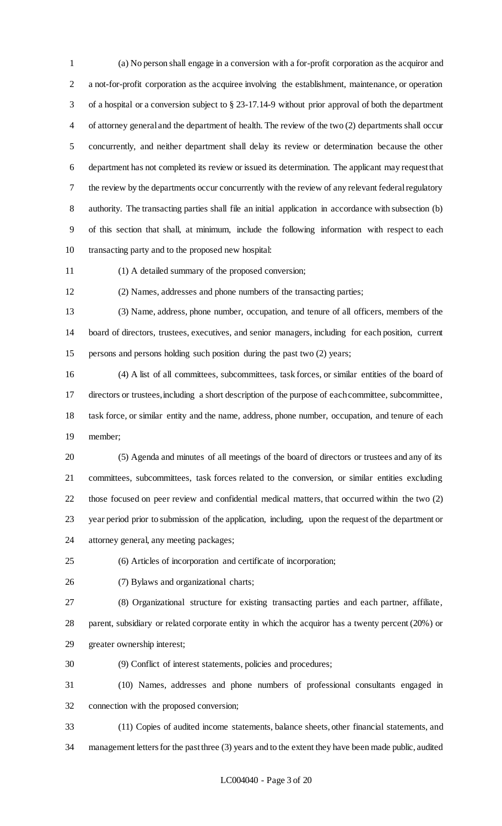(a) No person shall engage in a conversion with a for-profit corporation as the acquiror and a not-for-profit corporation as the acquiree involving the establishment, maintenance, or operation of a hospital or a conversion subject to § 23-17.14-9 without prior approval of both the department of attorney general and the department of health. The review of the two (2) departments shall occur concurrently, and neither department shall delay its review or determination because the other department has not completed its review or issued its determination. The applicant may request that the review by the departments occur concurrently with the review of any relevant federal regulatory authority. The transacting parties shall file an initial application in accordance with subsection (b) of this section that shall, at minimum, include the following information with respect to each transacting party and to the proposed new hospital:

(1) A detailed summary of the proposed conversion;

(2) Names, addresses and phone numbers of the transacting parties;

 (3) Name, address, phone number, occupation, and tenure of all officers, members of the board of directors, trustees, executives, and senior managers, including for each position, current persons and persons holding such position during the past two (2) years;

 (4) A list of all committees, subcommittees, task forces, or similar entities of the board of directors or trustees, including a short description of the purpose of each committee, subcommittee, task force, or similar entity and the name, address, phone number, occupation, and tenure of each member;

 (5) Agenda and minutes of all meetings of the board of directors or trustees and any of its committees, subcommittees, task forces related to the conversion, or similar entities excluding those focused on peer review and confidential medical matters, that occurred within the two (2) year period prior to submission of the application, including, upon the request of the department or attorney general, any meeting packages;

(6) Articles of incorporation and certificate of incorporation;

(7) Bylaws and organizational charts;

 (8) Organizational structure for existing transacting parties and each partner, affiliate, parent, subsidiary or related corporate entity in which the acquiror has a twenty percent (20%) or greater ownership interest;

(9) Conflict of interest statements, policies and procedures;

 (10) Names, addresses and phone numbers of professional consultants engaged in connection with the proposed conversion;

 (11) Copies of audited income statements, balance sheets, other financial statements, and management letters for the past three (3) years and to the extent they have been made public, audited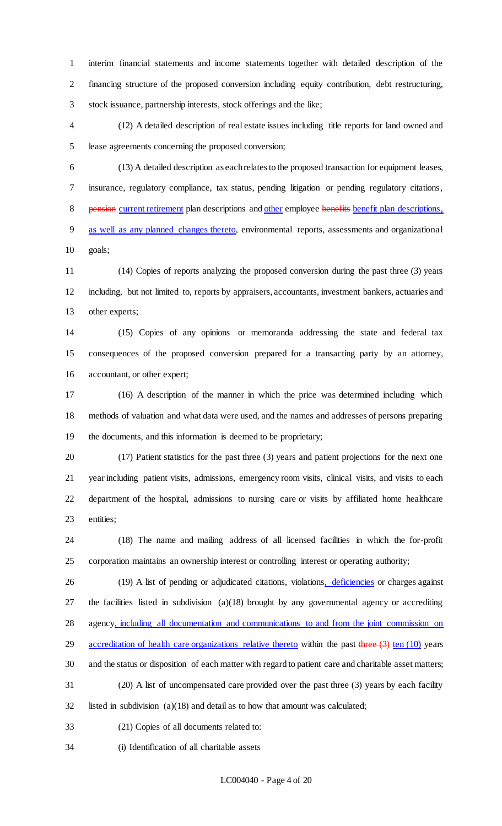interim financial statements and income statements together with detailed description of the financing structure of the proposed conversion including equity contribution, debt restructuring, stock issuance, partnership interests, stock offerings and the like;

 (12) A detailed description of real estate issues including title reports for land owned and lease agreements concerning the proposed conversion;

 (13) A detailed description as each relates to the proposed transaction for equipment leases, insurance, regulatory compliance, tax status, pending litigation or pending regulatory citations, 8 pension current retirement plan descriptions and other employee benefits benefit plan descriptions, as well as any planned changes thereto, environmental reports, assessments and organizational goals;

 (14) Copies of reports analyzing the proposed conversion during the past three (3) years including, but not limited to, reports by appraisers, accountants, investment bankers, actuaries and other experts;

 (15) Copies of any opinions or memoranda addressing the state and federal tax consequences of the proposed conversion prepared for a transacting party by an attorney, accountant, or other expert;

 (16) A description of the manner in which the price was determined including which methods of valuation and what data were used, and the names and addresses of persons preparing the documents, and this information is deemed to be proprietary;

 (17) Patient statistics for the past three (3) years and patient projections for the next one year including patient visits, admissions, emergency room visits, clinical visits, and visits to each department of the hospital, admissions to nursing care or visits by affiliated home healthcare entities;

 (18) The name and mailing address of all licensed facilities in which the for-profit corporation maintains an ownership interest or controlling interest or operating authority;

26 (19) A list of pending or adjudicated citations, violations, deficiencies or charges against the facilities listed in subdivision (a)(18) brought by any governmental agency or accrediting agency, including all documentation and communications to and from the joint commission on 29 accreditation of health care organizations relative thereto within the past  $\frac{1}{2}$  ten (10) years and the status or disposition of each matter with regard to patient care and charitable asset matters; (20) A list of uncompensated care provided over the past three (3) years by each facility listed in subdivision (a)(18) and detail as to how that amount was calculated;

- (21) Copies of all documents related to:
- (i) Identification of all charitable assets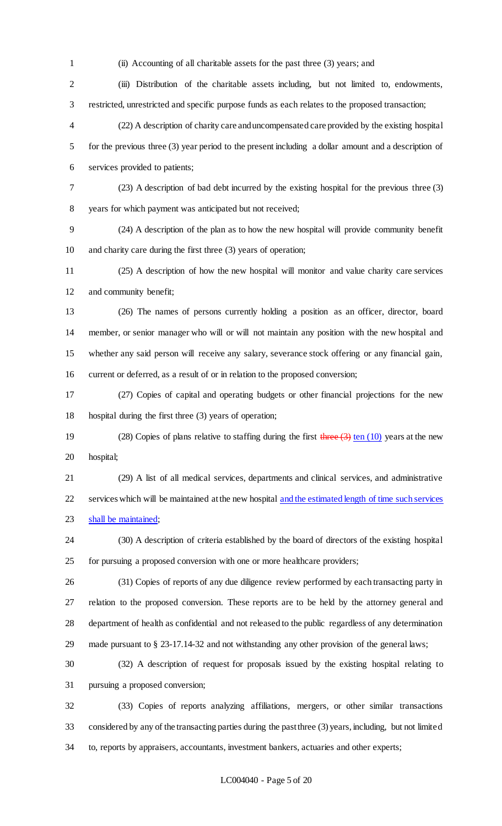(ii) Accounting of all charitable assets for the past three (3) years; and (iii) Distribution of the charitable assets including, but not limited to, endowments, restricted, unrestricted and specific purpose funds as each relates to the proposed transaction; (22) A description of charity care and uncompensated care provided by the existing hospital for the previous three (3) year period to the present including a dollar amount and a description of services provided to patients; (23) A description of bad debt incurred by the existing hospital for the previous three (3) years for which payment was anticipated but not received; (24) A description of the plan as to how the new hospital will provide community benefit and charity care during the first three (3) years of operation; (25) A description of how the new hospital will monitor and value charity care services and community benefit; (26) The names of persons currently holding a position as an officer, director, board member, or senior manager who will or will not maintain any position with the new hospital and whether any said person will receive any salary, severance stock offering or any financial gain, current or deferred, as a result of or in relation to the proposed conversion; (27) Copies of capital and operating budgets or other financial projections for the new hospital during the first three (3) years of operation; 19 (28) Copies of plans relative to staffing during the first  $\frac{\text{three (3) ten (10)}}{\text{ten (10)}}$  years at the new hospital; (29) A list of all medical services, departments and clinical services, and administrative 22 services which will be maintained at the new hospital and the estimated length of time such services 23 shall be maintained; (30) A description of criteria established by the board of directors of the existing hospital for pursuing a proposed conversion with one or more healthcare providers; (31) Copies of reports of any due diligence review performed by each transacting party in relation to the proposed conversion. These reports are to be held by the attorney general and department of health as confidential and not released to the public regardless of any determination made pursuant to § 23-17.14-32 and not withstanding any other provision of the general laws; (32) A description of request for proposals issued by the existing hospital relating to pursuing a proposed conversion; (33) Copies of reports analyzing affiliations, mergers, or other similar transactions

 considered by any of the transacting parties during the past three (3) years, including, but not limited to, reports by appraisers, accountants, investment bankers, actuaries and other experts;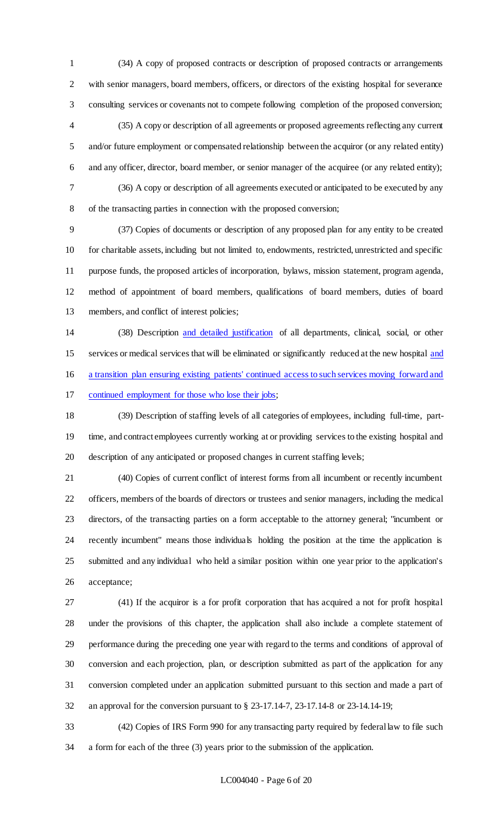(34) A copy of proposed contracts or description of proposed contracts or arrangements with senior managers, board members, officers, or directors of the existing hospital for severance consulting services or covenants not to compete following completion of the proposed conversion; (35) A copy or description of all agreements or proposed agreements reflecting any current 5 and/or future employment or compensated relationship between the acquiror (or any related entity) and any officer, director, board member, or senior manager of the acquiree (or any related entity); (36) A copy or description of all agreements executed or anticipated to be executed by any of the transacting parties in connection with the proposed conversion;

 (37) Copies of documents or description of any proposed plan for any entity to be created for charitable assets, including but not limited to, endowments, restricted, unrestricted and specific purpose funds, the proposed articles of incorporation, bylaws, mission statement, program agenda, method of appointment of board members, qualifications of board members, duties of board members, and conflict of interest policies;

 (38) Description and detailed justification of all departments, clinical, social, or other services or medical services that will be eliminated or significantly reduced at the new hospital and a transition plan ensuring existing patients' continued access to such services moving forward and continued employment for those who lose their jobs;

 (39) Description of staffing levels of all categories of employees, including full-time, part- time, and contract employees currently working at or providing services to the existing hospital and description of any anticipated or proposed changes in current staffing levels;

 (40) Copies of current conflict of interest forms from all incumbent or recently incumbent officers, members of the boards of directors or trustees and senior managers, including the medical directors, of the transacting parties on a form acceptable to the attorney general; "incumbent or recently incumbent" means those individuals holding the position at the time the application is submitted and any individual who held a similar position within one year prior to the application's acceptance;

 (41) If the acquiror is a for profit corporation that has acquired a not for profit hospital under the provisions of this chapter, the application shall also include a complete statement of performance during the preceding one year with regard to the terms and conditions of approval of conversion and each projection, plan, or description submitted as part of the application for any conversion completed under an application submitted pursuant to this section and made a part of an approval for the conversion pursuant to § 23-17.14-7, 23-17.14-8 or 23-14.14-19;

 (42) Copies of IRS Form 990 for any transacting party required by federal law to file such a form for each of the three (3) years prior to the submission of the application.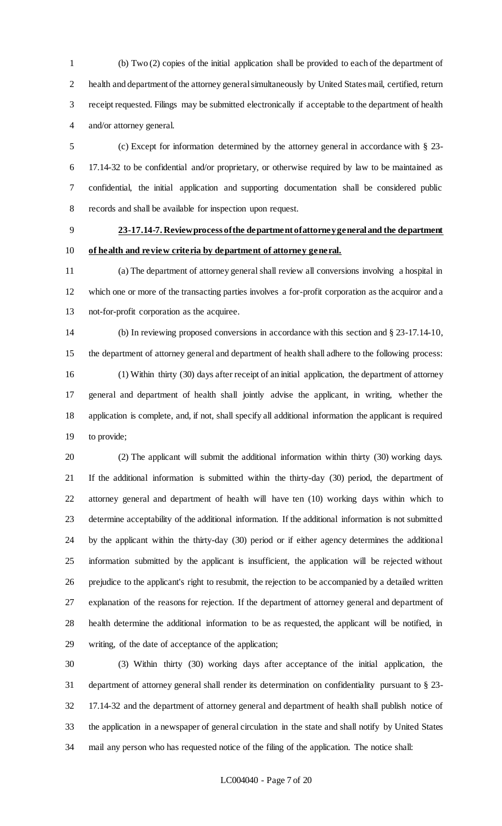(b) Two (2) copies of the initial application shall be provided to each of the department of health and department of the attorney general simultaneously by United States mail, certified, return receipt requested. Filings may be submitted electronically if acceptable to the department of health and/or attorney general.

 (c) Except for information determined by the attorney general in accordance with § 23- 17.14-32 to be confidential and/or proprietary, or otherwise required by law to be maintained as confidential, the initial application and supporting documentation shall be considered public records and shall be available for inspection upon request.

 **23-17.14-7. Review process of the department of attorney general and the department of health and review criteria by department of attorney general.**

 (a) The department of attorney general shall review all conversions involving a hospital in which one or more of the transacting parties involves a for-profit corporation as the acquiror and a not-for-profit corporation as the acquiree.

 (b) In reviewing proposed conversions in accordance with this section and § 23-17.14-10, the department of attorney general and department of health shall adhere to the following process: (1) Within thirty (30) days after receipt of an initial application, the department of attorney general and department of health shall jointly advise the applicant, in writing, whether the application is complete, and, if not, shall specify all additional information the applicant is required to provide;

 (2) The applicant will submit the additional information within thirty (30) working days. If the additional information is submitted within the thirty-day (30) period, the department of attorney general and department of health will have ten (10) working days within which to determine acceptability of the additional information. If the additional information is not submitted by the applicant within the thirty-day (30) period or if either agency determines the additional information submitted by the applicant is insufficient, the application will be rejected without prejudice to the applicant's right to resubmit, the rejection to be accompanied by a detailed written explanation of the reasons for rejection. If the department of attorney general and department of health determine the additional information to be as requested, the applicant will be notified, in writing, of the date of acceptance of the application;

 (3) Within thirty (30) working days after acceptance of the initial application, the department of attorney general shall render its determination on confidentiality pursuant to § 23- 17.14-32 and the department of attorney general and department of health shall publish notice of the application in a newspaper of general circulation in the state and shall notify by United States mail any person who has requested notice of the filing of the application. The notice shall: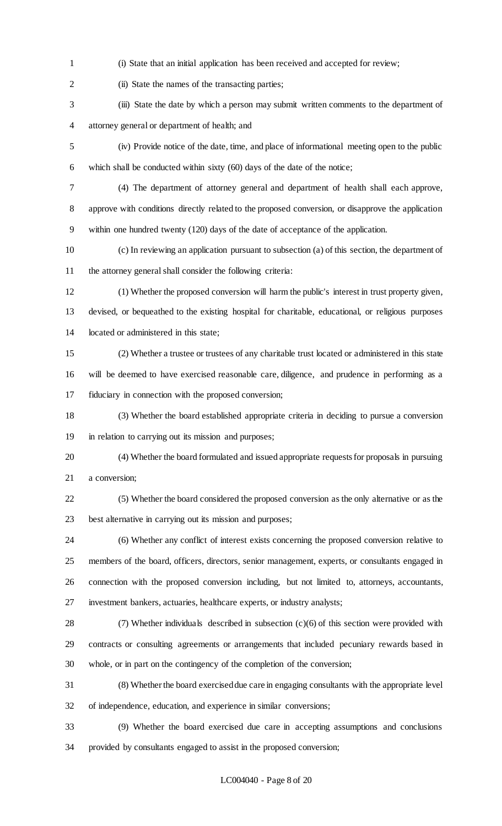- (i) State that an initial application has been received and accepted for review;
- 

2 (ii) State the names of the transacting parties;

- (iii) State the date by which a person may submit written comments to the department of attorney general or department of health; and
- (iv) Provide notice of the date, time, and place of informational meeting open to the public which shall be conducted within sixty (60) days of the date of the notice;
- (4) The department of attorney general and department of health shall each approve,
- approve with conditions directly related to the proposed conversion, or disapprove the application within one hundred twenty (120) days of the date of acceptance of the application.
- (c) In reviewing an application pursuant to subsection (a) of this section, the department of the attorney general shall consider the following criteria:
- (1) Whether the proposed conversion will harm the public's interest in trust property given, devised, or bequeathed to the existing hospital for charitable, educational, or religious purposes located or administered in this state;
- (2) Whether a trustee or trustees of any charitable trust located or administered in this state will be deemed to have exercised reasonable care, diligence, and prudence in performing as a fiduciary in connection with the proposed conversion;
- (3) Whether the board established appropriate criteria in deciding to pursue a conversion in relation to carrying out its mission and purposes;
- (4) Whether the board formulated and issued appropriate requests for proposals in pursuing a conversion;
- (5) Whether the board considered the proposed conversion as the only alternative or as the best alternative in carrying out its mission and purposes;
- (6) Whether any conflict of interest exists concerning the proposed conversion relative to members of the board, officers, directors, senior management, experts, or consultants engaged in connection with the proposed conversion including, but not limited to, attorneys, accountants, investment bankers, actuaries, healthcare experts, or industry analysts;
- (7) Whether individuals described in subsection (c)(6) of this section were provided with contracts or consulting agreements or arrangements that included pecuniary rewards based in whole, or in part on the contingency of the completion of the conversion;
	- (8) Whether the board exercised due care in engaging consultants with the appropriate level of independence, education, and experience in similar conversions;
	- (9) Whether the board exercised due care in accepting assumptions and conclusions provided by consultants engaged to assist in the proposed conversion;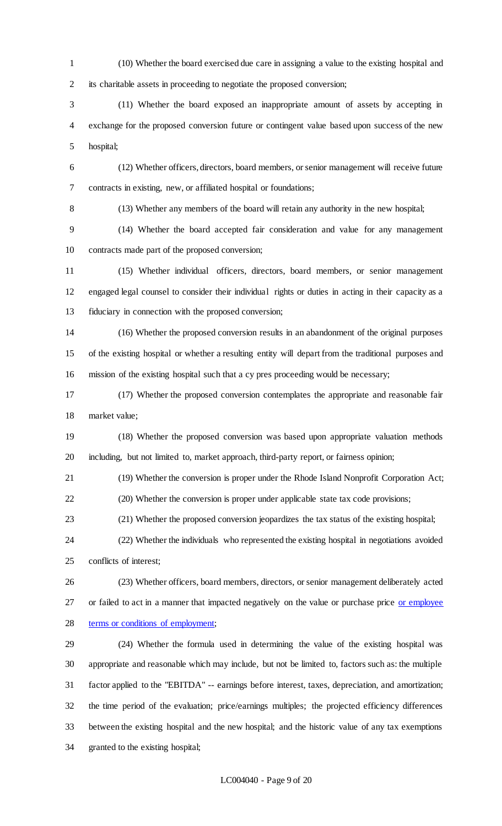(10) Whether the board exercised due care in assigning a value to the existing hospital and its charitable assets in proceeding to negotiate the proposed conversion;

 (11) Whether the board exposed an inappropriate amount of assets by accepting in exchange for the proposed conversion future or contingent value based upon success of the new hospital;

 (12) Whether officers, directors, board members, or senior management will receive future contracts in existing, new, or affiliated hospital or foundations;

(13) Whether any members of the board will retain any authority in the new hospital;

 (14) Whether the board accepted fair consideration and value for any management contracts made part of the proposed conversion;

 (15) Whether individual officers, directors, board members, or senior management engaged legal counsel to consider their individual rights or duties in acting in their capacity as a fiduciary in connection with the proposed conversion;

 (16) Whether the proposed conversion results in an abandonment of the original purposes of the existing hospital or whether a resulting entity will depart from the traditional purposes and mission of the existing hospital such that a cy pres proceeding would be necessary;

 (17) Whether the proposed conversion contemplates the appropriate and reasonable fair market value;

 (18) Whether the proposed conversion was based upon appropriate valuation methods including, but not limited to, market approach, third-party report, or fairness opinion;

(19) Whether the conversion is proper under the Rhode Island Nonprofit Corporation Act;

(20) Whether the conversion is proper under applicable state tax code provisions;

(21) Whether the proposed conversion jeopardizes the tax status of the existing hospital;

 (22) Whether the individuals who represented the existing hospital in negotiations avoided conflicts of interest;

 (23) Whether officers, board members, directors, or senior management deliberately acted 27 or failed to act in a manner that impacted negatively on the value or purchase price or employee terms or conditions of employment;

 (24) Whether the formula used in determining the value of the existing hospital was appropriate and reasonable which may include, but not be limited to, factors such as: the multiple factor applied to the "EBITDA" -- earnings before interest, taxes, depreciation, and amortization; the time period of the evaluation; price/earnings multiples; the projected efficiency differences between the existing hospital and the new hospital; and the historic value of any tax exemptions granted to the existing hospital;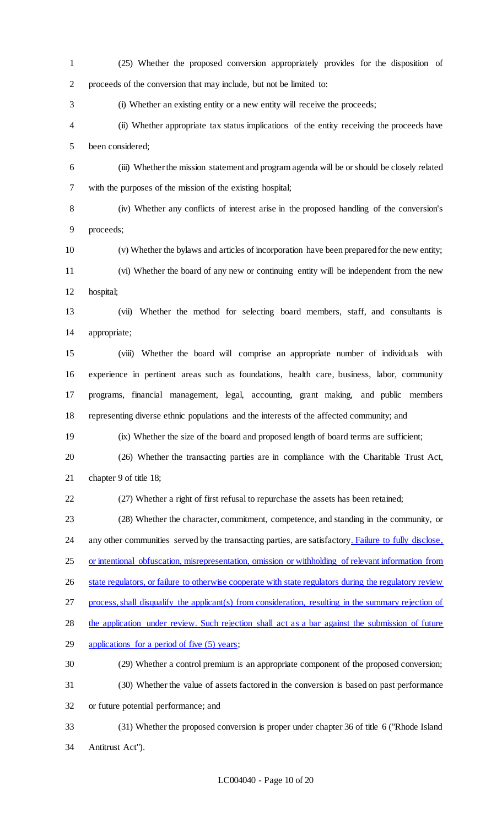(25) Whether the proposed conversion appropriately provides for the disposition of proceeds of the conversion that may include, but not be limited to: (i) Whether an existing entity or a new entity will receive the proceeds; (ii) Whether appropriate tax status implications of the entity receiving the proceeds have been considered; (iii) Whether the mission statement and program agenda will be or should be closely related with the purposes of the mission of the existing hospital; (iv) Whether any conflicts of interest arise in the proposed handling of the conversion's proceeds; (v) Whether the bylaws and articles of incorporation have been prepared for the new entity; (vi) Whether the board of any new or continuing entity will be independent from the new hospital; (vii) Whether the method for selecting board members, staff, and consultants is appropriate; (viii) Whether the board will comprise an appropriate number of individuals with experience in pertinent areas such as foundations, health care, business, labor, community programs, financial management, legal, accounting, grant making, and public members representing diverse ethnic populations and the interests of the affected community; and (ix) Whether the size of the board and proposed length of board terms are sufficient; (26) Whether the transacting parties are in compliance with the Charitable Trust Act, chapter 9 of title 18; (27) Whether a right of first refusal to repurchase the assets has been retained; (28) Whether the character, commitment, competence, and standing in the community, or 24 any other communities served by the transacting parties, are satisfactory. Failure to fully disclose, or intentional obfuscation, misrepresentation, omission or withholding of relevant information from 26 state regulators, or failure to otherwise cooperate with state regulators during the regulatory review process, shall disqualify the applicant(s) from consideration, resulting in the summary rejection of the application under review. Such rejection shall act as a bar against the submission of future applications for a period of five (5) years; (29) Whether a control premium is an appropriate component of the proposed conversion; (30) Whether the value of assets factored in the conversion is based on past performance or future potential performance; and (31) Whether the proposed conversion is proper under chapter 36 of title 6 ("Rhode Island Antitrust Act").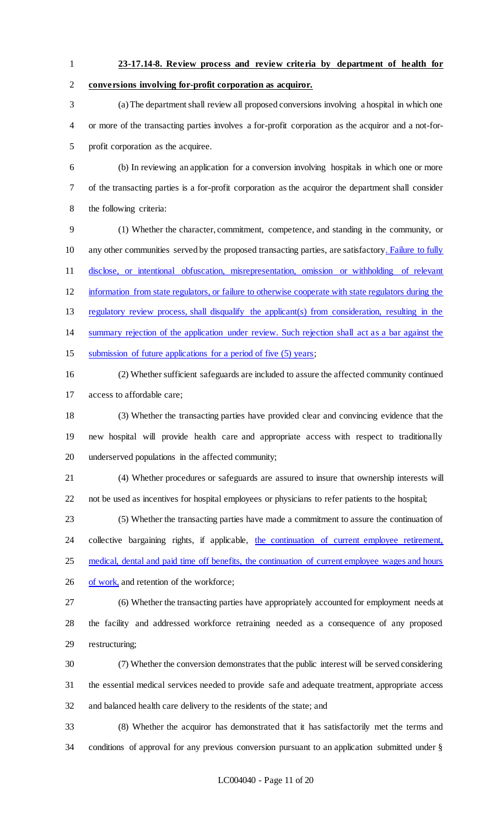**23-17.14-8. Review process and review criteria by department of health for** 

**conversions involving for-profit corporation as acquiror.**

 (a) The department shall review all proposed conversions involving a hospital in which one or more of the transacting parties involves a for-profit corporation as the acquiror and a not-for-profit corporation as the acquiree.

 (b) In reviewing an application for a conversion involving hospitals in which one or more of the transacting parties is a for-profit corporation as the acquiror the department shall consider the following criteria:

 (1) Whether the character, commitment, competence, and standing in the community, or 10 any other communities served by the proposed transacting parties, are satisfactory. Failure to fully disclose, or intentional obfuscation, misrepresentation, omission or withholding of relevant information from state regulators, or failure to otherwise cooperate with state regulators during the regulatory review process, shall disqualify the applicant(s) from consideration, resulting in the summary rejection of the application under review. Such rejection shall act as a bar against the submission of future applications for a period of five (5) years;

 (2) Whether sufficient safeguards are included to assure the affected community continued access to affordable care;

 (3) Whether the transacting parties have provided clear and convincing evidence that the new hospital will provide health care and appropriate access with respect to traditionally underserved populations in the affected community;

 (4) Whether procedures or safeguards are assured to insure that ownership interests will not be used as incentives for hospital employees or physicians to refer patients to the hospital;

 (5) Whether the transacting parties have made a commitment to assure the continuation of 24 collective bargaining rights, if applicable, the continuation of current employee retirement, medical, dental and paid time off benefits, the continuation of current employee wages and hours 26 of work, and retention of the workforce;

 (6) Whether the transacting parties have appropriately accounted for employment needs at the facility and addressed workforce retraining needed as a consequence of any proposed restructuring;

 (7) Whether the conversion demonstrates that the public interest will be served considering the essential medical services needed to provide safe and adequate treatment, appropriate access and balanced health care delivery to the residents of the state; and

 (8) Whether the acquiror has demonstrated that it has satisfactorily met the terms and conditions of approval for any previous conversion pursuant to an application submitted under §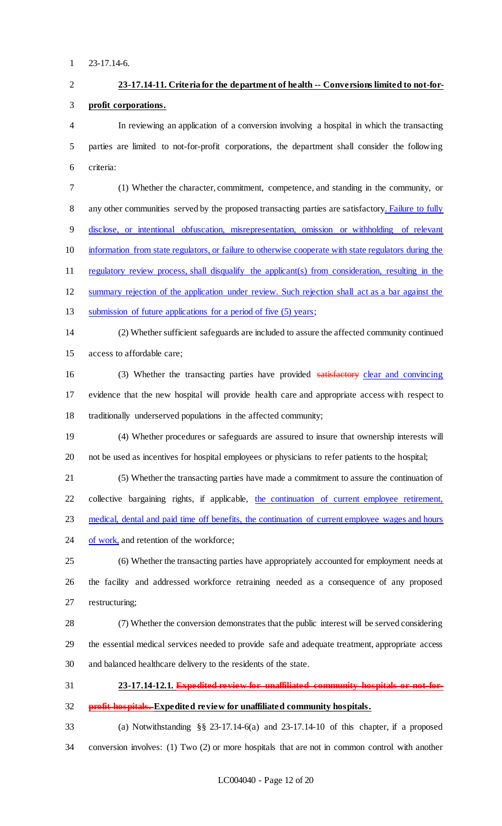# **23-17.14-11. Criteria for the department of health -- Conversions limited to not-for- profit corporations.** In reviewing an application of a conversion involving a hospital in which the transacting parties are limited to not-for-profit corporations, the department shall consider the following criteria: (1) Whether the character, commitment, competence, and standing in the community, or 8 any other communities served by the proposed transacting parties are satisfactory. Failure to fully disclose, or intentional obfuscation, misrepresentation, omission or withholding of relevant information from state regulators, or failure to otherwise cooperate with state regulators during the regulatory review process, shall disqualify the applicant(s) from consideration, resulting in the summary rejection of the application under review. Such rejection shall act as a bar against the 13 submission of future applications for a period of five (5) years; (2) Whether sufficient safeguards are included to assure the affected community continued access to affordable care; 16 (3) Whether the transacting parties have provided satisfactory clear and convincing evidence that the new hospital will provide health care and appropriate access with respect to traditionally underserved populations in the affected community; (4) Whether procedures or safeguards are assured to insure that ownership interests will not be used as incentives for hospital employees or physicians to refer patients to the hospital; (5) Whether the transacting parties have made a commitment to assure the continuation of 22 collective bargaining rights, if applicable, the continuation of current employee retirement, 23 medical, dental and paid time off benefits, the continuation of current employee wages and hours of work, and retention of the workforce; (6) Whether the transacting parties have appropriately accounted for employment needs at the facility and addressed workforce retraining needed as a consequence of any proposed restructuring; (7) Whether the conversion demonstrates that the public interest will be served considering the essential medical services needed to provide safe and adequate treatment, appropriate access and balanced healthcare delivery to the residents of the state. **23-17.14-12.1. Expedited review for unaffiliated community hospitals or not-for- profit hospitals. Expedited review for unaffiliated community hospitals.** (a) Notwithstanding §§ 23-17.14-6(a) and 23-17.14-10 of this chapter, if a proposed

conversion involves: (1) Two (2) or more hospitals that are not in common control with another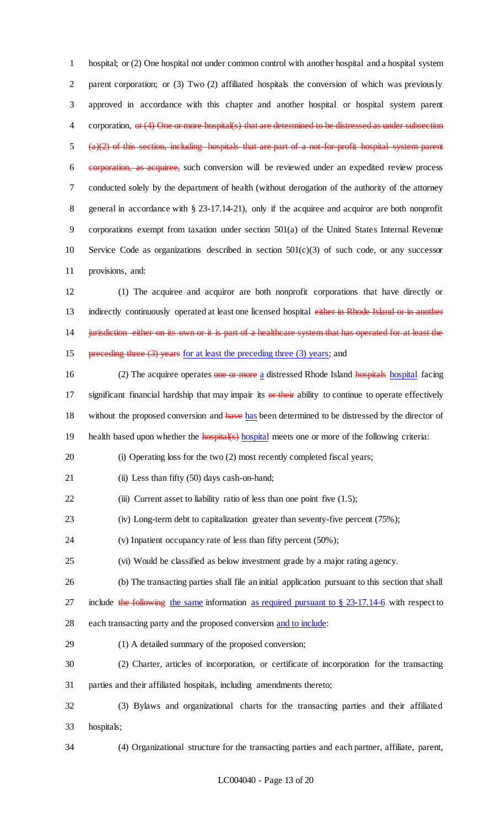hospital; or (2) One hospital not under common control with another hospital and a hospital system parent corporation; or (3) Two (2) affiliated hospitals the conversion of which was previously approved in accordance with this chapter and another hospital or hospital system parent 4 corporation, or (4) One or more hospital(s) that are determined to be distressed as under subsection (a)(2) of this section, including hospitals that are part of a not-for-profit hospital system parent corporation, as acquiree, such conversion will be reviewed under an expedited review process conducted solely by the department of health (without derogation of the authority of the attorney general in accordance with § 23-17.14-21), only if the acquiree and acquiror are both nonprofit corporations exempt from taxation under section 501(a) of the United States Internal Revenue Service Code as organizations described in section 501(c)(3) of such code, or any successor provisions, and:

 (1) The acquiree and acquiror are both nonprofit corporations that have directly or 13 indirectly continuously operated at least one licensed hospital either in Rhode Island or in another 14 jurisdiction either on its own or it is part of a healthcare system that has operated for at least the 15 preceding three (3) years for at least the preceding three (3) years; and

- 16 (2) The acquiree operates one or more a distressed Rhode Island hospitals hospital facing 17 significant financial hardship that may impair its or their ability to continue to operate effectively 18 without the proposed conversion and have has been determined to be distressed by the director of 19 health based upon whether the **hospital**(s) hospital meets one or more of the following criteria:
- (i) Operating loss for the two (2) most recently completed fiscal years;
- 21 (ii) Less than fifty (50) days cash-on-hand;
- 22 (iii) Current asset to liability ratio of less than one point five (1.5);
- (iv) Long-term debt to capitalization greater than seventy-five percent (75%);
- (v) Inpatient occupancy rate of less than fifty percent (50%);
- (vi) Would be classified as below investment grade by a major rating agency.
- (b) The transacting parties shall file an initial application pursuant to this section that shall
- 27 include the following the same information as required pursuant to  $\S 23-17.14-6$  with respect to
- 28 each transacting party and the proposed conversion and to include:
- (1) A detailed summary of the proposed conversion;
- (2) Charter, articles of incorporation, or certificate of incorporation for the transacting parties and their affiliated hospitals, including amendments thereto;
- (3) Bylaws and organizational charts for the transacting parties and their affiliated hospitals;
- 

(4) Organizational structure for the transacting parties and each partner, affiliate, parent,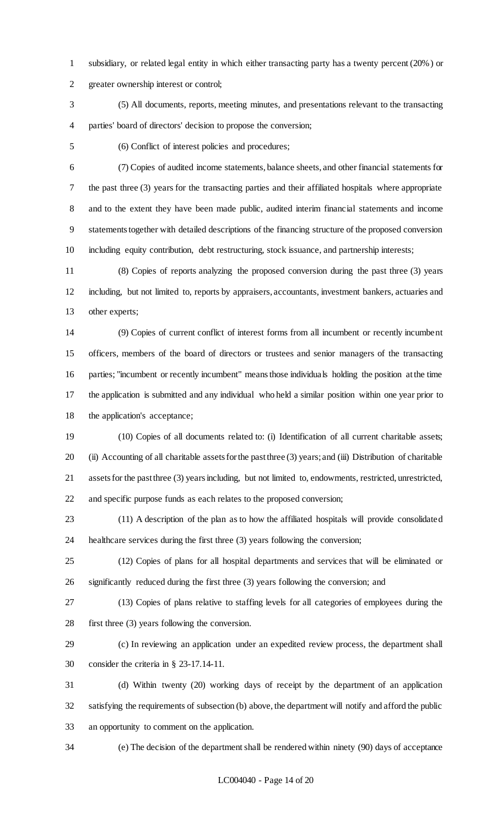subsidiary, or related legal entity in which either transacting party has a twenty percent (20%) or greater ownership interest or control;

 (5) All documents, reports, meeting minutes, and presentations relevant to the transacting parties' board of directors' decision to propose the conversion;

(6) Conflict of interest policies and procedures;

 (7) Copies of audited income statements, balance sheets, and other financial statements for the past three (3) years for the transacting parties and their affiliated hospitals where appropriate and to the extent they have been made public, audited interim financial statements and income statements together with detailed descriptions of the financing structure of the proposed conversion including equity contribution, debt restructuring, stock issuance, and partnership interests;

 (8) Copies of reports analyzing the proposed conversion during the past three (3) years including, but not limited to, reports by appraisers, accountants, investment bankers, actuaries and other experts;

 (9) Copies of current conflict of interest forms from all incumbent or recently incumbent officers, members of the board of directors or trustees and senior managers of the transacting parties; "incumbent or recently incumbent" means those individuals holding the position at the time the application is submitted and any individual who held a similar position within one year prior to the application's acceptance;

 (10) Copies of all documents related to: (i) Identification of all current charitable assets; (ii) Accounting of all charitable assets for the past three (3) years; and (iii) Distribution of charitable assets for the past three (3) years including, but not limited to, endowments, restricted, unrestricted, and specific purpose funds as each relates to the proposed conversion;

 (11) A description of the plan as to how the affiliated hospitals will provide consolidated healthcare services during the first three (3) years following the conversion;

 (12) Copies of plans for all hospital departments and services that will be eliminated or significantly reduced during the first three (3) years following the conversion; and

 (13) Copies of plans relative to staffing levels for all categories of employees during the first three (3) years following the conversion.

 (c) In reviewing an application under an expedited review process, the department shall consider the criteria in § 23-17.14-11.

 (d) Within twenty (20) working days of receipt by the department of an application satisfying the requirements of subsection (b) above, the department will notify and afford the public an opportunity to comment on the application.

(e) The decision of the department shall be rendered within ninety (90) days of acceptance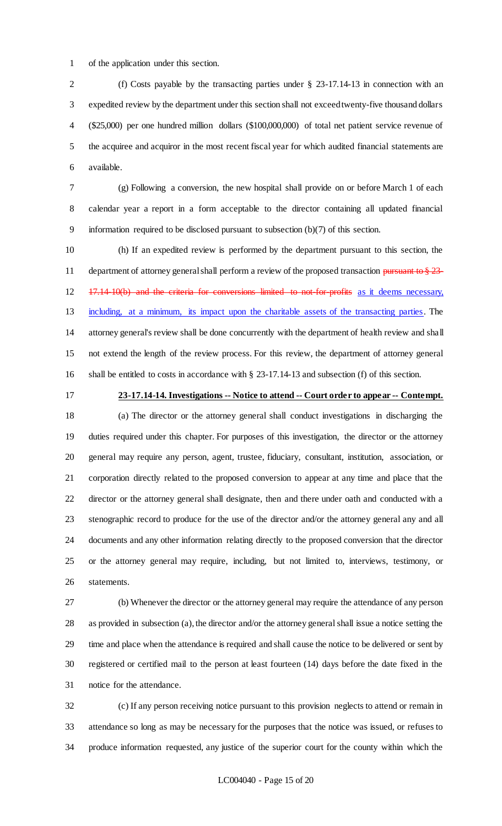of the application under this section.

 (f) Costs payable by the transacting parties under § 23-17.14-13 in connection with an expedited review by the department under this section shall not exceed twenty-five thousand dollars (\$25,000) per one hundred million dollars (\$100,000,000) of total net patient service revenue of the acquiree and acquiror in the most recent fiscal year for which audited financial statements are available.

 (g) Following a conversion, the new hospital shall provide on or before March 1 of each calendar year a report in a form acceptable to the director containing all updated financial information required to be disclosed pursuant to subsection (b)(7) of this section.

 (h) If an expedited review is performed by the department pursuant to this section, the 11 department of attorney general shall perform a review of the proposed transaction pursuant to § 23-12 17.14-10(b) and the criteria for conversions limited to not-for-profits as it deems necessary, including, at a minimum, its impact upon the charitable assets of the transacting parties. The attorney general's review shall be done concurrently with the department of health review and shall not extend the length of the review process. For this review, the department of attorney general shall be entitled to costs in accordance with § 23-17.14-13 and subsection (f) of this section.

**23-17.14-14. Investigations -- Notice to attend -- Court order to appear -- Contempt.**

 (a) The director or the attorney general shall conduct investigations in discharging the duties required under this chapter. For purposes of this investigation, the director or the attorney general may require any person, agent, trustee, fiduciary, consultant, institution, association, or corporation directly related to the proposed conversion to appear at any time and place that the director or the attorney general shall designate, then and there under oath and conducted with a stenographic record to produce for the use of the director and/or the attorney general any and all documents and any other information relating directly to the proposed conversion that the director or the attorney general may require, including, but not limited to, interviews, testimony, or statements.

 (b) Whenever the director or the attorney general may require the attendance of any person as provided in subsection (a), the director and/or the attorney general shall issue a notice setting the time and place when the attendance is required and shall cause the notice to be delivered or sent by registered or certified mail to the person at least fourteen (14) days before the date fixed in the notice for the attendance.

 (c) If any person receiving notice pursuant to this provision neglects to attend or remain in attendance so long as may be necessary for the purposes that the notice was issued, or refuses to produce information requested, any justice of the superior court for the county within which the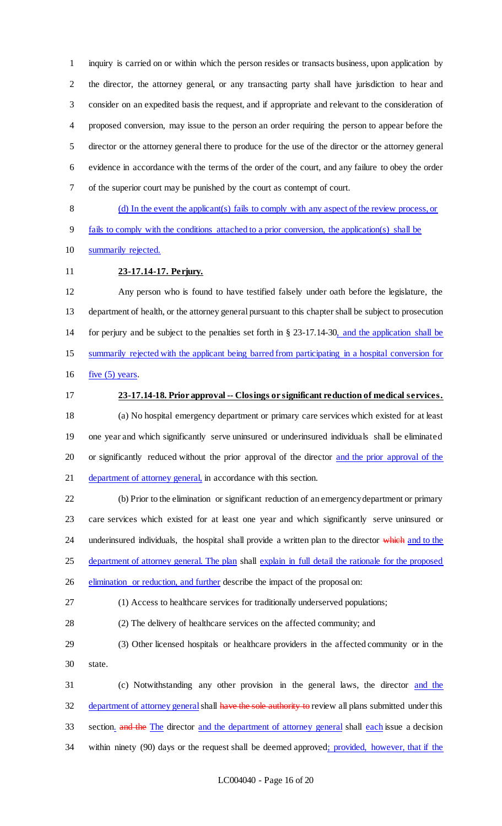inquiry is carried on or within which the person resides or transacts business, upon application by the director, the attorney general, or any transacting party shall have jurisdiction to hear and consider on an expedited basis the request, and if appropriate and relevant to the consideration of proposed conversion, may issue to the person an order requiring the person to appear before the director or the attorney general there to produce for the use of the director or the attorney general evidence in accordance with the terms of the order of the court, and any failure to obey the order of the superior court may be punished by the court as contempt of court.

 (d) In the event the applicant(s) fails to comply with any aspect of the review process, or fails to comply with the conditions attached to a prior conversion, the application(s) shall be

summarily rejected.

## **23-17.14-17. Perjury.**

 Any person who is found to have testified falsely under oath before the legislature, the department of health, or the attorney general pursuant to this chapter shall be subject to prosecution for perjury and be subject to the penalties set forth in § 23-17.14-30, and the application shall be summarily rejected with the applicant being barred from participating in a hospital conversion for 16 five  $(5)$  years.

## **23-17.14-18. Prior approval -- Closings or significant reduction of medical services.**

 (a) No hospital emergency department or primary care services which existed for at least one year and which significantly serve uninsured or underinsured individuals shall be eliminated or significantly reduced without the prior approval of the director and the prior approval of the 21 department of attorney general, in accordance with this section.

 (b) Prior to the elimination or significant reduction of an emergency department or primary care services which existed for at least one year and which significantly serve uninsured or 24 underinsured individuals, the hospital shall provide a written plan to the director which and to the 25 department of attorney general. The plan shall explain in full detail the rationale for the proposed 26 elimination or reduction, and further describe the impact of the proposal on:

(1) Access to healthcare services for traditionally underserved populations;

(2) The delivery of healthcare services on the affected community; and

 (3) Other licensed hospitals or healthcare providers in the affected community or in the state.

 (c) Notwithstanding any other provision in the general laws, the director and the 32 department of attorney general shall have the sole authority to review all plans submitted under this 33 section. and the The director and the department of attorney general shall each issue a decision 34 within ninety (90) days or the request shall be deemed approved; provided, however, that if the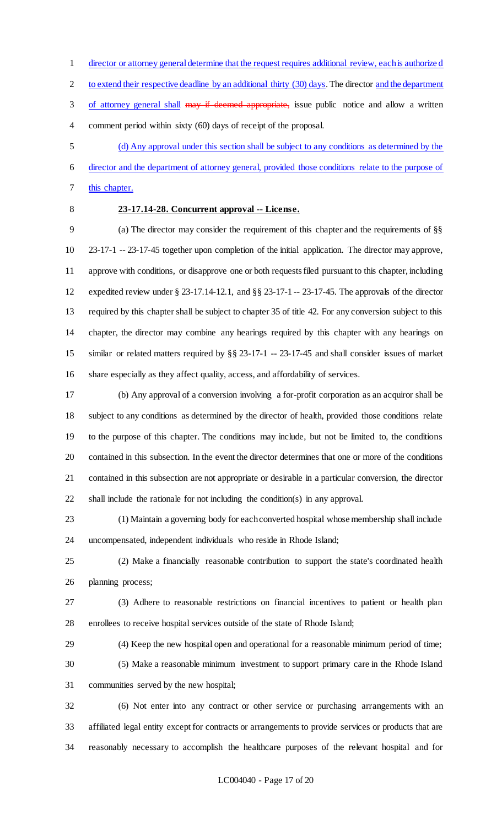director or attorney general determine that the request requires additional review, each is authorize d

2 to extend their respective deadline by an additional thirty (30) days. The director and the department

3 of attorney general shall may if deemed appropriate, issue public notice and allow a written comment period within sixty (60) days of receipt of the proposal.

(d) Any approval under this section shall be subject to any conditions as determined by the

 director and the department of attorney general, provided those conditions relate to the purpose of this chapter.

## **23-17.14-28. Concurrent approval -- License.**

 (a) The director may consider the requirement of this chapter and the requirements of §§ 23-17-1 -- 23-17-45 together upon completion of the initial application. The director may approve, approve with conditions, or disapprove one or both requests filed pursuant to this chapter, including expedited review under § 23-17.14-12.1, and §§ 23-17-1 -- 23-17-45. The approvals of the director required by this chapter shall be subject to chapter 35 of title 42. For any conversion subject to this chapter, the director may combine any hearings required by this chapter with any hearings on similar or related matters required by §§ 23-17-1 -- 23-17-45 and shall consider issues of market share especially as they affect quality, access, and affordability of services.

 (b) Any approval of a conversion involving a for-profit corporation as an acquiror shall be subject to any conditions as determined by the director of health, provided those conditions relate to the purpose of this chapter. The conditions may include, but not be limited to, the conditions contained in this subsection. In the event the director determines that one or more of the conditions contained in this subsection are not appropriate or desirable in a particular conversion, the director shall include the rationale for not including the condition(s) in any approval.

 (1) Maintain a governing body for each converted hospital whose membership shall include uncompensated, independent individuals who reside in Rhode Island;

 (2) Make a financially reasonable contribution to support the state's coordinated health planning process;

 (3) Adhere to reasonable restrictions on financial incentives to patient or health plan enrollees to receive hospital services outside of the state of Rhode Island;

 (4) Keep the new hospital open and operational for a reasonable minimum period of time; (5) Make a reasonable minimum investment to support primary care in the Rhode Island communities served by the new hospital;

 (6) Not enter into any contract or other service or purchasing arrangements with an affiliated legal entity except for contracts or arrangements to provide services or products that are reasonably necessary to accomplish the healthcare purposes of the relevant hospital and for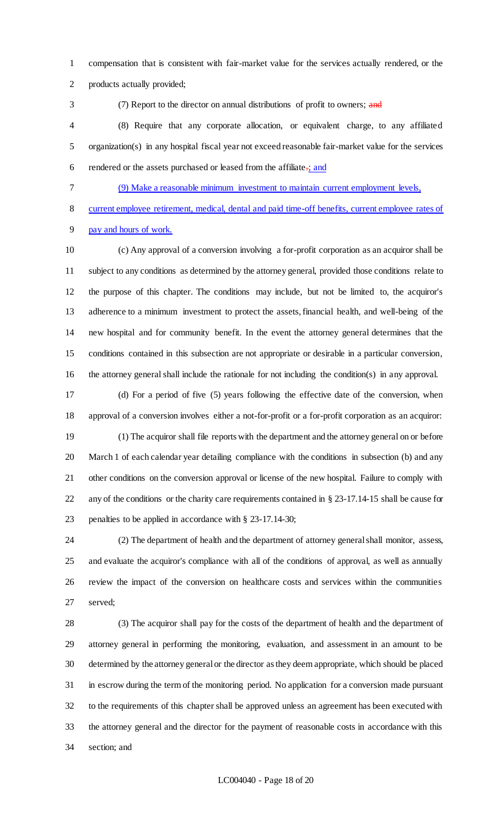compensation that is consistent with fair-market value for the services actually rendered, or the products actually provided;

3 (7) Report to the director on annual distributions of profit to owners; and

 (8) Require that any corporate allocation, or equivalent charge, to any affiliated organization(s) in any hospital fiscal year not exceed reasonable fair-market value for the services 6 rendered or the assets purchased or leased from the affiliate $\frac{1}{2}$  and

(9) Make a reasonable minimum investment to maintain current employment levels,

current employee retirement, medical, dental and paid time-off benefits, current employee rates of

pay and hours of work.

 (c) Any approval of a conversion involving a for-profit corporation as an acquiror shall be subject to any conditions as determined by the attorney general, provided those conditions relate to the purpose of this chapter. The conditions may include, but not be limited to, the acquiror's adherence to a minimum investment to protect the assets, financial health, and well-being of the new hospital and for community benefit. In the event the attorney general determines that the conditions contained in this subsection are not appropriate or desirable in a particular conversion, the attorney general shall include the rationale for not including the condition(s) in any approval.

 (d) For a period of five (5) years following the effective date of the conversion, when approval of a conversion involves either a not-for-profit or a for-profit corporation as an acquiror:

 (1) The acquiror shall file reports with the department and the attorney general on or before March 1 of each calendar year detailing compliance with the conditions in subsection (b) and any other conditions on the conversion approval or license of the new hospital. Failure to comply with any of the conditions or the charity care requirements contained in § 23-17.14-15 shall be cause for penalties to be applied in accordance with § 23-17.14-30;

 (2) The department of health and the department of attorney general shall monitor, assess, and evaluate the acquiror's compliance with all of the conditions of approval, as well as annually review the impact of the conversion on healthcare costs and services within the communities served;

 (3) The acquiror shall pay for the costs of the department of health and the department of attorney general in performing the monitoring, evaluation, and assessment in an amount to be determined by the attorney general or the director as they deem appropriate, which should be placed in escrow during the term of the monitoring period. No application for a conversion made pursuant to the requirements of this chapter shall be approved unless an agreement has been executed with the attorney general and the director for the payment of reasonable costs in accordance with this section; and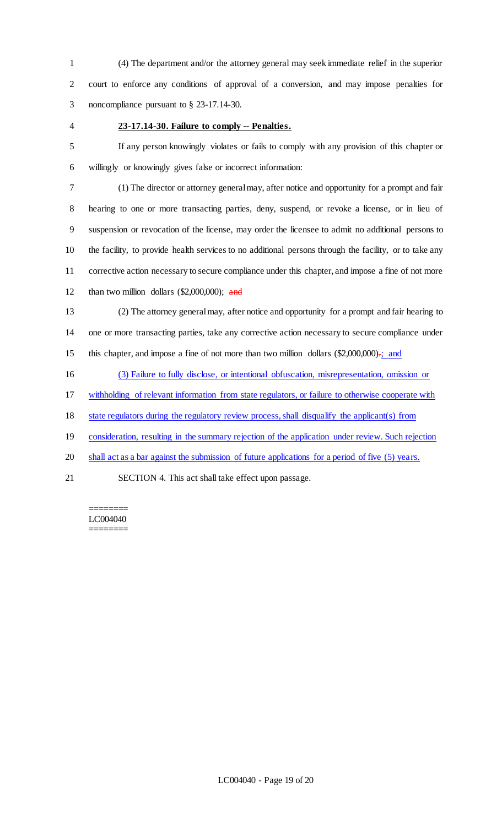(4) The department and/or the attorney general may seek immediate relief in the superior court to enforce any conditions of approval of a conversion, and may impose penalties for noncompliance pursuant to § 23-17.14-30.

### **23-17.14-30. Failure to comply -- Penalties.**

 If any person knowingly violates or fails to comply with any provision of this chapter or willingly or knowingly gives false or incorrect information:

 (1) The director or attorney general may, after notice and opportunity for a prompt and fair hearing to one or more transacting parties, deny, suspend, or revoke a license, or in lieu of suspension or revocation of the license, may order the licensee to admit no additional persons to the facility, to provide health services to no additional persons through the facility, or to take any corrective action necessary to secure compliance under this chapter, and impose a fine of not more 12 than two million dollars  $(\$2,000,000)$ ; and

 (2) The attorney general may, after notice and opportunity for a prompt and fair hearing to one or more transacting parties, take any corrective action necessary to secure compliance under 15 this chapter, and impose a fine of not more than two million dollars (\$2,000,000).; and

(3) Failure to fully disclose, or intentional obfuscation, misrepresentation, omission or

withholding of relevant information from state regulators, or failure to otherwise cooperate with

state regulators during the regulatory review process, shall disqualify the applicant(s) from

19 consideration, resulting in the summary rejection of the application under review. Such rejection

20 shall act as a bar against the submission of future applications for a period of five (5) years.

SECTION 4. This act shall take effect upon passage.

======== LC004040 ========